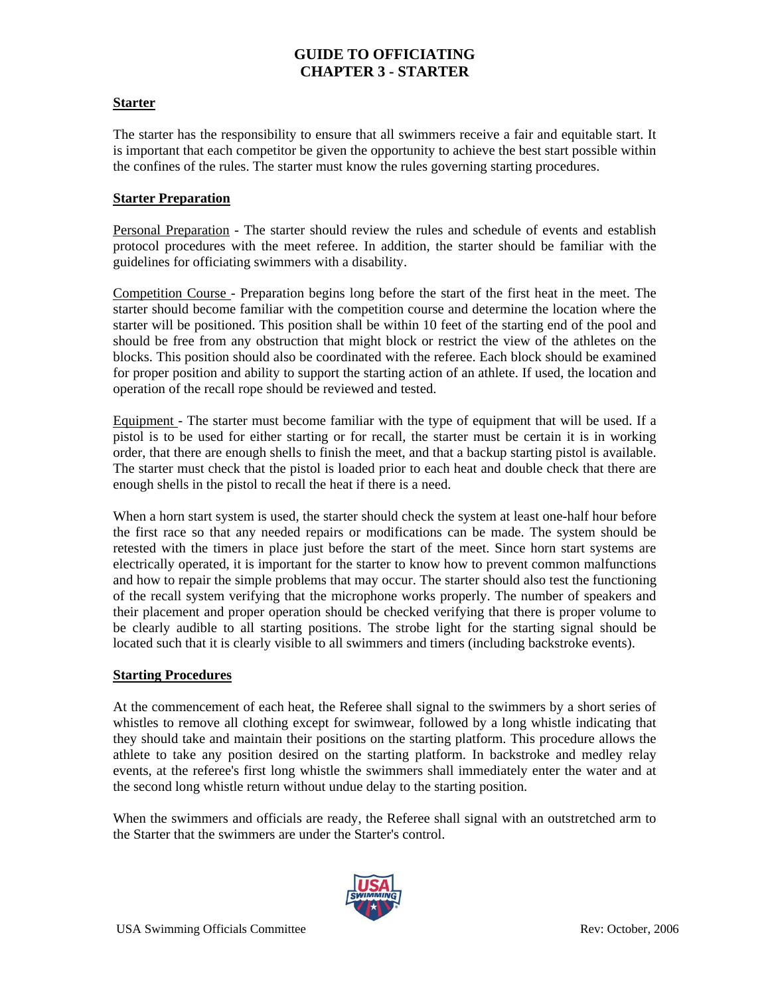# **GUIDE TO OFFICIATING CHAPTER 3 - STARTER**

#### **Starter**

The starter has the responsibility to ensure that all swimmers receive a fair and equitable start. It is important that each competitor be given the opportunity to achieve the best start possible within the confines of the rules. The starter must know the rules governing starting procedures.

#### **Starter Preparation**

Personal Preparation - The starter should review the rules and schedule of events and establish protocol procedures with the meet referee. In addition, the starter should be familiar with the guidelines for officiating swimmers with a disability.

Competition Course - Preparation begins long before the start of the first heat in the meet. The starter should become familiar with the competition course and determine the location where the starter will be positioned. This position shall be within 10 feet of the starting end of the pool and should be free from any obstruction that might block or restrict the view of the athletes on the blocks. This position should also be coordinated with the referee. Each block should be examined for proper position and ability to support the starting action of an athlete. If used, the location and operation of the recall rope should be reviewed and tested.

Equipment - The starter must become familiar with the type of equipment that will be used. If a pistol is to be used for either starting or for recall, the starter must be certain it is in working order, that there are enough shells to finish the meet, and that a backup starting pistol is available. The starter must check that the pistol is loaded prior to each heat and double check that there are enough shells in the pistol to recall the heat if there is a need.

When a horn start system is used, the starter should check the system at least one-half hour before the first race so that any needed repairs or modifications can be made. The system should be retested with the timers in place just before the start of the meet. Since horn start systems are electrically operated, it is important for the starter to know how to prevent common malfunctions and how to repair the simple problems that may occur. The starter should also test the functioning of the recall system verifying that the microphone works properly. The number of speakers and their placement and proper operation should be checked verifying that there is proper volume to be clearly audible to all starting positions. The strobe light for the starting signal should be located such that it is clearly visible to all swimmers and timers (including backstroke events).

#### **Starting Procedures**

At the commencement of each heat, the Referee shall signal to the swimmers by a short series of whistles to remove all clothing except for swimwear, followed by a long whistle indicating that they should take and maintain their positions on the starting platform. This procedure allows the athlete to take any position desired on the starting platform. In backstroke and medley relay events, at the referee's first long whistle the swimmers shall immediately enter the water and at the second long whistle return without undue delay to the starting position.

When the swimmers and officials are ready, the Referee shall signal with an outstretched arm to the Starter that the swimmers are under the Starter's control.

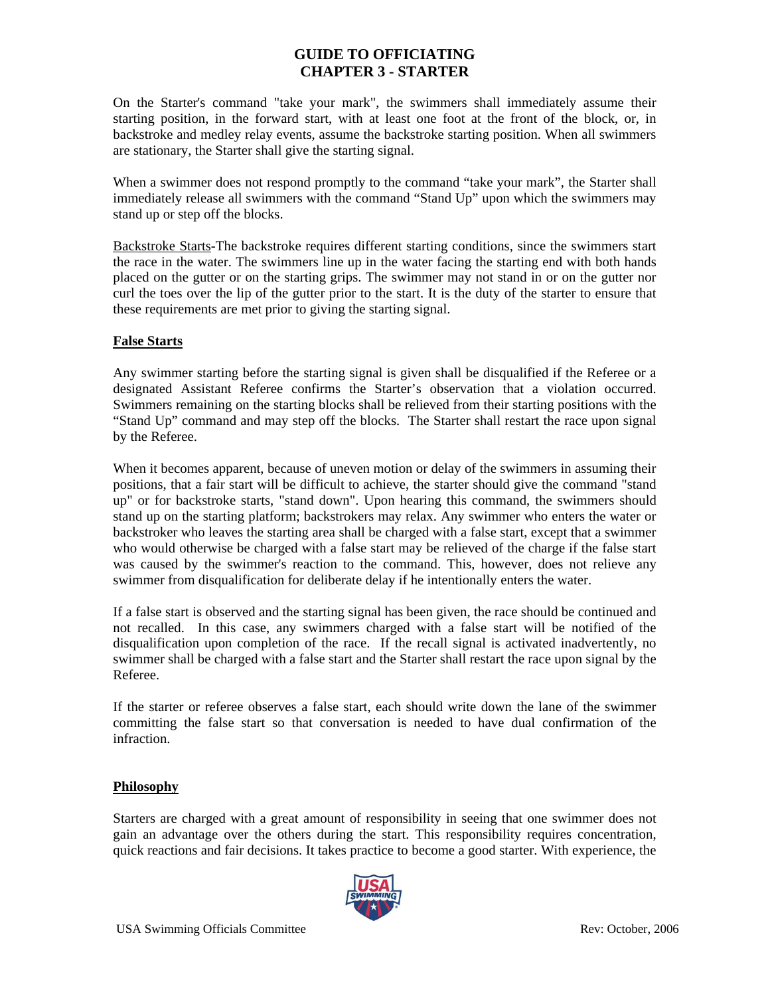# **GUIDE TO OFFICIATING CHAPTER 3 - STARTER**

On the Starter's command "take your mark", the swimmers shall immediately assume their starting position, in the forward start, with at least one foot at the front of the block, or, in backstroke and medley relay events, assume the backstroke starting position. When all swimmers are stationary, the Starter shall give the starting signal.

When a swimmer does not respond promptly to the command "take your mark", the Starter shall immediately release all swimmers with the command "Stand Up" upon which the swimmers may stand up or step off the blocks.

Backstroke Starts-The backstroke requires different starting conditions, since the swimmers start the race in the water. The swimmers line up in the water facing the starting end with both hands placed on the gutter or on the starting grips. The swimmer may not stand in or on the gutter nor curl the toes over the lip of the gutter prior to the start. It is the duty of the starter to ensure that these requirements are met prior to giving the starting signal.

### **False Starts**

Any swimmer starting before the starting signal is given shall be disqualified if the Referee or a designated Assistant Referee confirms the Starter's observation that a violation occurred. Swimmers remaining on the starting blocks shall be relieved from their starting positions with the "Stand Up" command and may step off the blocks. The Starter shall restart the race upon signal by the Referee.

When it becomes apparent, because of uneven motion or delay of the swimmers in assuming their positions, that a fair start will be difficult to achieve, the starter should give the command "stand up" or for backstroke starts, "stand down". Upon hearing this command, the swimmers should stand up on the starting platform; backstrokers may relax. Any swimmer who enters the water or backstroker who leaves the starting area shall be charged with a false start, except that a swimmer who would otherwise be charged with a false start may be relieved of the charge if the false start was caused by the swimmer's reaction to the command. This, however, does not relieve any swimmer from disqualification for deliberate delay if he intentionally enters the water.

If a false start is observed and the starting signal has been given, the race should be continued and not recalled. In this case, any swimmers charged with a false start will be notified of the disqualification upon completion of the race. If the recall signal is activated inadvertently, no swimmer shall be charged with a false start and the Starter shall restart the race upon signal by the Referee.

If the starter or referee observes a false start, each should write down the lane of the swimmer committing the false start so that conversation is needed to have dual confirmation of the infraction.

### **Philosophy**

Starters are charged with a great amount of responsibility in seeing that one swimmer does not gain an advantage over the others during the start. This responsibility requires concentration, quick reactions and fair decisions. It takes practice to become a good starter. With experience, the